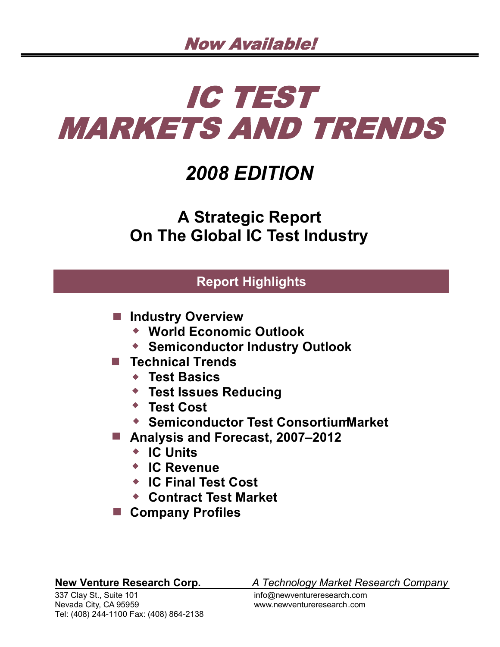# IC TEST **MARKETS AND TRENDS**

## *2008 EDITION*

**A Strategic Report On The Global IC Test Industry**

### **Report Highlights**

- $\blacksquare$  **Industry Overview** 
	- **World Economic Outlook**
	- **Semiconductor Industry Outlook**
- **Technical Trends**
	- **Test Basics**
	- **Test Issues Reducing**
	- **Test Cost**
	- **Semiconductor Test Consortium Market**
- **Analysis and Forecast, 2007–2012**
	- **IC Units**
	- **IC Revenue**
	- **IC Final Test Cost**
	- **Contract Test Market**
- Company Profiles

337 Clay St., Suite 101 info@newventureresearch.com Nevada City, CA 95959 www.newventureresearch.com Tel: (408) 244-1100 Fax: (408) 864-2138

**New Venture Research Corp.** *A Technology Market Research Company*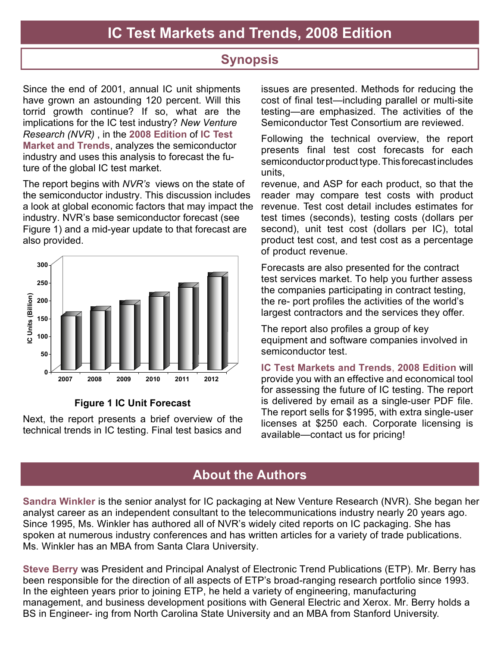### **Synopsis**

Since the end of 2001, annual IC unit shipments have grown an astounding 120 percent. Will this torrid growth continue? If so, what are the implications for the IC test industry? *New Venture Research (NVR)* , in the **2008 Edition** of **IC Test Market and Trends**, analyzes the semiconductor industry and uses this analysis to forecast the future of the global IC test market.

The report begins with *NVR's* views on the state of the semiconductor industry. This discussion includes a look at global economic factors that may impact the industry. NVR's base semiconductor forecast (see Figure 1) and a mid-year update to that forecast are also provided.



#### **Figure 1 IC Unit Forecast**

Next, the report presents a brief overview of the technical trends in IC testing. Final test basics and

issues are presented. Methods for reducing the cost of final test—including parallel or multi-site testing—are emphasized. The activities of the Semiconductor Test Consortium are reviewed.

Following the technical overview, the report presents final test cost forecasts for each semiconductor product type. This forecast includes units,

revenue, and ASP for each product, so that the reader may compare test costs with product revenue. Test cost detail includes estimates for test times (seconds), testing costs (dollars per second), unit test cost (dollars per IC), total product test cost, and test cost as a percentage of product revenue.

Forecasts are also presented for the contract test services market. To help you further assess the companies participating in contract testing, the re- port profiles the activities of the world's largest contractors and the services they offer.

The report also profiles a group of key equipment and software companies involved in semiconductor test.

**IC Test Markets and Trends**, **2008 Edition** will provide you with an effective and economical tool for assessing the future of IC testing. The report is delivered by email as a single-user PDF file. The report sells for \$1995, with extra single-user licenses at \$250 each. Corporate licensing is available—contact us for pricing!

### **About the Authors**

**Sandra Winkler** is the senior analyst for IC packaging at New Venture Research (NVR). She began her analyst career as an independent consultant to the telecommunications industry nearly 20 years ago. Since 1995, Ms. Winkler has authored all of NVR's widely cited reports on IC packaging. She has spoken at numerous industry conferences and has written articles for a variety of trade publications. Ms. Winkler has an MBA from Santa Clara University.

**Steve Berry** was President and Principal Analyst of Electronic Trend Publications (ETP). Mr. Berry has been responsible for the direction of all aspects of ETP's broad-ranging research portfolio since 1993. In the eighteen years prior to joining ETP, he held a variety of engineering, manufacturing management, and business development positions with General Electric and Xerox. Mr. Berry holds a BS in Engineer- ing from North Carolina State University and an MBA from Stanford University.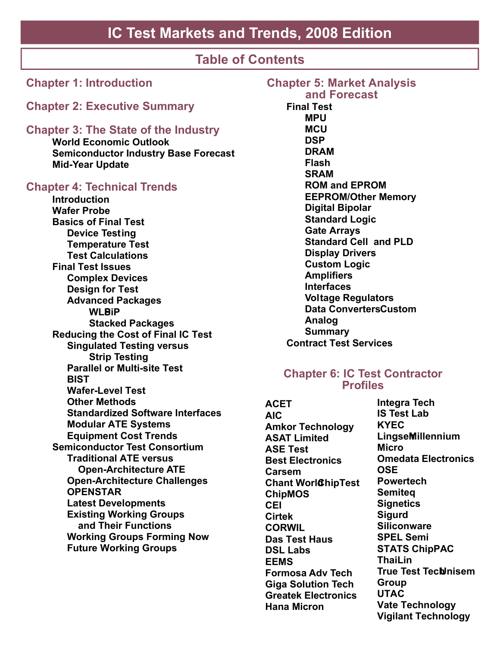### **IC Test Markets and Trends, 2008 Edition**

### **Table of Contents**

| <b>Chapter 1: Introduction</b>                                                                                                                                                                                                                                                                                                                                                                                                                                                                                                                                                                                                                                                                                                                                                                                                                                                                                                                                                                                 |
|----------------------------------------------------------------------------------------------------------------------------------------------------------------------------------------------------------------------------------------------------------------------------------------------------------------------------------------------------------------------------------------------------------------------------------------------------------------------------------------------------------------------------------------------------------------------------------------------------------------------------------------------------------------------------------------------------------------------------------------------------------------------------------------------------------------------------------------------------------------------------------------------------------------------------------------------------------------------------------------------------------------|
| <b>Chapter 2: Executive Summary</b>                                                                                                                                                                                                                                                                                                                                                                                                                                                                                                                                                                                                                                                                                                                                                                                                                                                                                                                                                                            |
| <b>Chapter 3: The State of the Industry</b><br><b>World Economic Outlook</b><br><b>Semiconductor Industry Base Forecast</b><br><b>Mid-Year Update</b>                                                                                                                                                                                                                                                                                                                                                                                                                                                                                                                                                                                                                                                                                                                                                                                                                                                          |
| <b>Chapter 4: Technical Trends</b><br><b>Introduction</b><br><b>Wafer Probe</b><br><b>Basics of Final Test</b><br><b>Device Testing</b><br><b>Temperature Test</b><br><b>Test Calculations</b><br><b>Final Test Issues</b><br><b>Complex Devices</b><br><b>Design for Test</b><br><b>Advanced Packages</b><br><b>WLBiP</b><br><b>Stacked Packages</b><br><b>Reducing the Cost of Final IC Test</b><br><b>Singulated Testing versus</b><br><b>Strip Testing</b><br><b>Parallel or Multi-site Test</b><br><b>BIST</b><br><b>Wafer-Level Test</b><br><b>Other Methods</b><br><b>Standardized Software Interfaces</b><br><b>Modular ATE Systems</b><br><b>Equipment Cost Trends</b><br><b>Semiconductor Test Consortium</b><br><b>Traditional ATE versus</b><br><b>Open-Architecture ATE</b><br><b>Open-Architecture Challenges</b><br><b>OPENSTAR</b><br><b>Latest Developments</b><br><b>Existing Working Groups</b><br>and Their Functions<br><b>Working Groups Forming Now</b><br><b>Future Working Groups</b> |
|                                                                                                                                                                                                                                                                                                                                                                                                                                                                                                                                                                                                                                                                                                                                                                                                                                                                                                                                                                                                                |

**Chapter 5: Market Analysis and Forecast Final Test MPU MCU DSP DRAM Flash SRAM ROM and EPROM EEPROM/Other Memory Digital Bipolar Standard Logic Gate Arrays Standard Cell and PLD Display Drivers Custom Logic Amplifiers Interfaces Voltage Regulators Data Converters Custom Analog Summary Contract Test Services**

#### **Chapter 6: IC Test Contractor Profiles**

**ACET AIC Amkor Technology ASAT Limited ASE Test Best Electronics Carsem Chant World ChipTest ChipMOS CEI Cirtek CORWIL Das Test Haus DSL Labs EEMS Formosa Adv Tech Giga Solution Tech Greatek Electronics Hana Micron**

**Integra Tech IS Test Lab KYEC Lingsen Millennium Micro Omedata Electronics OSE Powertech Semiteq Signetics Sigurd Siliconware SPEL Semi STATS ChipPAC ThaiLin True Test Technisem Group UTAC Vate Technology Vigilant Technology**